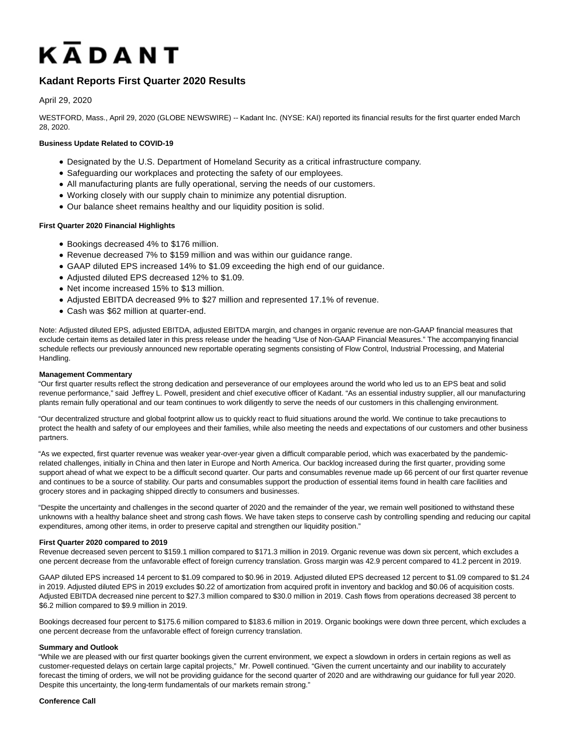# KADANT

## **Kadant Reports First Quarter 2020 Results**

## April 29, 2020

WESTFORD, Mass., April 29, 2020 (GLOBE NEWSWIRE) -- Kadant Inc. (NYSE: KAI) reported its financial results for the first quarter ended March 28, 2020.

## **Business Update Related to COVID-19**

- Designated by the U.S. Department of Homeland Security as a critical infrastructure company.
- Safeguarding our workplaces and protecting the safety of our employees.
- All manufacturing plants are fully operational, serving the needs of our customers.
- Working closely with our supply chain to minimize any potential disruption.
- Our balance sheet remains healthy and our liquidity position is solid.

### **First Quarter 2020 Financial Highlights**

- Bookings decreased 4% to \$176 million.
- Revenue decreased 7% to \$159 million and was within our guidance range.
- GAAP diluted EPS increased 14% to \$1.09 exceeding the high end of our guidance.
- Adjusted diluted EPS decreased 12% to \$1.09.
- Net income increased 15% to \$13 million.
- Adjusted EBITDA decreased 9% to \$27 million and represented 17.1% of revenue.
- Cash was \$62 million at quarter-end.

Note: Adjusted diluted EPS, adjusted EBITDA, adjusted EBITDA margin, and changes in organic revenue are non-GAAP financial measures that exclude certain items as detailed later in this press release under the heading "Use of Non-GAAP Financial Measures." The accompanying financial schedule reflects our previously announced new reportable operating segments consisting of Flow Control, Industrial Processing, and Material Handling.

#### **Management Commentary**

"Our first quarter results reflect the strong dedication and perseverance of our employees around the world who led us to an EPS beat and solid revenue performance," said Jeffrey L. Powell, president and chief executive officer of Kadant. "As an essential industry supplier, all our manufacturing plants remain fully operational and our team continues to work diligently to serve the needs of our customers in this challenging environment.

"Our decentralized structure and global footprint allow us to quickly react to fluid situations around the world. We continue to take precautions to protect the health and safety of our employees and their families, while also meeting the needs and expectations of our customers and other business partners.

"As we expected, first quarter revenue was weaker year-over-year given a difficult comparable period, which was exacerbated by the pandemicrelated challenges, initially in China and then later in Europe and North America. Our backlog increased during the first quarter, providing some support ahead of what we expect to be a difficult second quarter. Our parts and consumables revenue made up 66 percent of our first quarter revenue and continues to be a source of stability. Our parts and consumables support the production of essential items found in health care facilities and grocery stores and in packaging shipped directly to consumers and businesses.

"Despite the uncertainty and challenges in the second quarter of 2020 and the remainder of the year, we remain well positioned to withstand these unknowns with a healthy balance sheet and strong cash flows. We have taken steps to conserve cash by controlling spending and reducing our capital expenditures, among other items, in order to preserve capital and strengthen our liquidity position."

#### **First Quarter 2020 compared to 2019**

Revenue decreased seven percent to \$159.1 million compared to \$171.3 million in 2019. Organic revenue was down six percent, which excludes a one percent decrease from the unfavorable effect of foreign currency translation. Gross margin was 42.9 percent compared to 41.2 percent in 2019.

GAAP diluted EPS increased 14 percent to \$1.09 compared to \$0.96 in 2019. Adjusted diluted EPS decreased 12 percent to \$1.09 compared to \$1.24 in 2019. Adjusted diluted EPS in 2019 excludes \$0.22 of amortization from acquired profit in inventory and backlog and \$0.06 of acquisition costs. Adjusted EBITDA decreased nine percent to \$27.3 million compared to \$30.0 million in 2019. Cash flows from operations decreased 38 percent to \$6.2 million compared to \$9.9 million in 2019.

Bookings decreased four percent to \$175.6 million compared to \$183.6 million in 2019. Organic bookings were down three percent, which excludes a one percent decrease from the unfavorable effect of foreign currency translation.

#### **Summary and Outlook**

"While we are pleased with our first quarter bookings given the current environment, we expect a slowdown in orders in certain regions as well as customer-requested delays on certain large capital projects," Mr. Powell continued. "Given the current uncertainty and our inability to accurately forecast the timing of orders, we will not be providing guidance for the second quarter of 2020 and are withdrawing our guidance for full year 2020. Despite this uncertainty, the long-term fundamentals of our markets remain strong."

#### **Conference Call**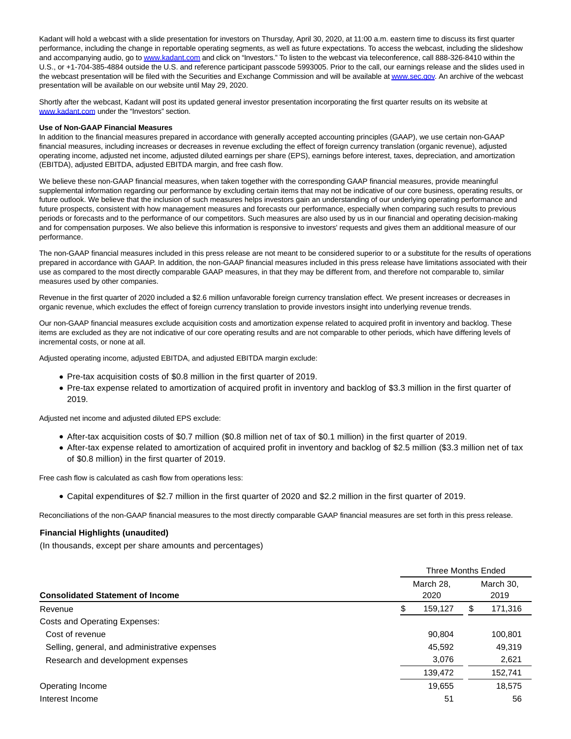Kadant will hold a webcast with a slide presentation for investors on Thursday, April 30, 2020, at 11:00 a.m. eastern time to discuss its first quarter performance, including the change in reportable operating segments, as well as future expectations. To access the webcast, including the slideshow and accompanying audio, go t[o www.kadant.com a](https://www.globenewswire.com/Tracker?data=NlNzW3QZ7mGPAyrUSG56Rsq1w3lxLMSwAggFyU0fPCW5knWM-6BNOzZI9VX368SemX1XsuFkCGNUoVAn9DZz0w==)nd click on "Investors." To listen to the webcast via teleconference, call 888-326-8410 within the U.S., or +1-704-385-4884 outside the U.S. and reference participant passcode 5993005. Prior to the call, our earnings release and the slides used in the webcast presentation will be filed with the Securities and Exchange Commission and will be available a[t www.sec.gov.](https://www.globenewswire.com/Tracker?data=7_LjiJ0IxKUDWU0YXdMVVLO9WTfxhGOBWsSfqmMAJFlJniV5HgX8W1TZrynRAs_rAiaSOiqwBdfvh2JCBuxRfg==) An archive of the webcast presentation will be available on our website until May 29, 2020.

Shortly after the webcast, Kadant will post its updated general investor presentation incorporating the first quarter results on its website at [www.kadant.com u](https://www.globenewswire.com/Tracker?data=NlNzW3QZ7mGPAyrUSG56RnKIQLLNdzIUilGlNk8CqVOb34-uq2GZvuOowA1hYxT_m9Y6Byw0FruCRbYOKBs95Q==)nder the "Investors" section.

#### **Use of Non-GAAP Financial Measures**

In addition to the financial measures prepared in accordance with generally accepted accounting principles (GAAP), we use certain non-GAAP financial measures, including increases or decreases in revenue excluding the effect of foreign currency translation (organic revenue), adjusted operating income, adjusted net income, adjusted diluted earnings per share (EPS), earnings before interest, taxes, depreciation, and amortization (EBITDA), adjusted EBITDA, adjusted EBITDA margin, and free cash flow.

We believe these non-GAAP financial measures, when taken together with the corresponding GAAP financial measures, provide meaningful supplemental information regarding our performance by excluding certain items that may not be indicative of our core business, operating results, or future outlook. We believe that the inclusion of such measures helps investors gain an understanding of our underlying operating performance and future prospects, consistent with how management measures and forecasts our performance, especially when comparing such results to previous periods or forecasts and to the performance of our competitors. Such measures are also used by us in our financial and operating decision-making and for compensation purposes. We also believe this information is responsive to investors' requests and gives them an additional measure of our performance.

The non-GAAP financial measures included in this press release are not meant to be considered superior to or a substitute for the results of operations prepared in accordance with GAAP. In addition, the non-GAAP financial measures included in this press release have limitations associated with their use as compared to the most directly comparable GAAP measures, in that they may be different from, and therefore not comparable to, similar measures used by other companies.

Revenue in the first quarter of 2020 included a \$2.6 million unfavorable foreign currency translation effect. We present increases or decreases in organic revenue, which excludes the effect of foreign currency translation to provide investors insight into underlying revenue trends.

Our non-GAAP financial measures exclude acquisition costs and amortization expense related to acquired profit in inventory and backlog. These items are excluded as they are not indicative of our core operating results and are not comparable to other periods, which have differing levels of incremental costs, or none at all.

Adjusted operating income, adjusted EBITDA, and adjusted EBITDA margin exclude:

- Pre-tax acquisition costs of \$0.8 million in the first quarter of 2019.
- Pre-tax expense related to amortization of acquired profit in inventory and backlog of \$3.3 million in the first quarter of 2019.

Adjusted net income and adjusted diluted EPS exclude:

- After-tax acquisition costs of \$0.7 million (\$0.8 million net of tax of \$0.1 million) in the first quarter of 2019.
- After-tax expense related to amortization of acquired profit in inventory and backlog of \$2.5 million (\$3.3 million net of tax of \$0.8 million) in the first quarter of 2019.

Free cash flow is calculated as cash flow from operations less:

Capital expenditures of \$2.7 million in the first quarter of 2020 and \$2.2 million in the first quarter of 2019.

Reconciliations of the non-GAAP financial measures to the most directly comparable GAAP financial measures are set forth in this press release.

## **Financial Highlights (unaudited)**

(In thousands, except per share amounts and percentages)

|                                               | Three Months Ended |         |                   |         |  |  |  |
|-----------------------------------------------|--------------------|---------|-------------------|---------|--|--|--|
| <b>Consolidated Statement of Income</b>       | March 28.          |         | March 30,<br>2019 |         |  |  |  |
| Revenue                                       |                    | 159,127 | \$                | 171,316 |  |  |  |
| <b>Costs and Operating Expenses:</b>          |                    |         |                   |         |  |  |  |
| Cost of revenue                               |                    | 90.804  |                   | 100,801 |  |  |  |
| Selling, general, and administrative expenses |                    | 45,592  |                   | 49,319  |  |  |  |
| Research and development expenses             |                    | 3,076   |                   | 2,621   |  |  |  |
|                                               |                    | 139,472 |                   | 152,741 |  |  |  |
| Operating Income                              |                    | 19,655  |                   | 18,575  |  |  |  |
| Interest Income                               |                    | 51      |                   | 56      |  |  |  |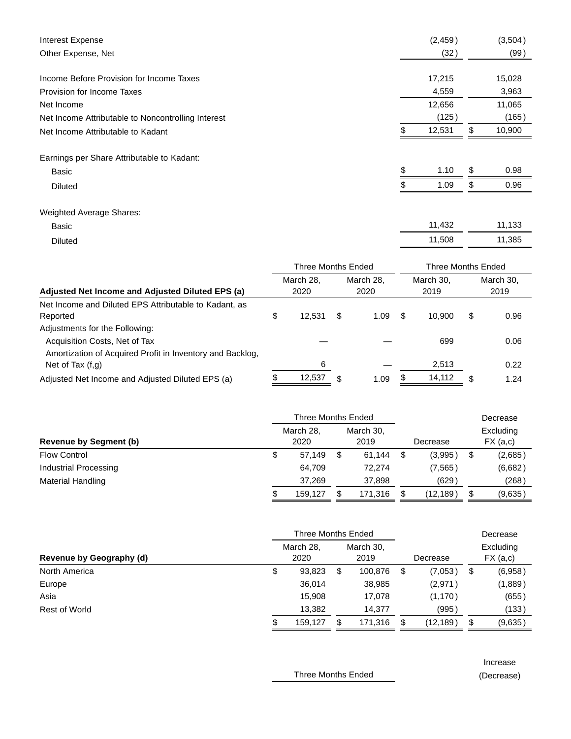| Interest Expense                                   |                    |                           | (2, 459)           | (3,504)           |
|----------------------------------------------------|--------------------|---------------------------|--------------------|-------------------|
| Other Expense, Net                                 |                    |                           | (32)               | (99)              |
| Income Before Provision for Income Taxes           |                    |                           | 17,215             | 15,028            |
| Provision for Income Taxes                         |                    |                           | 4,559              | 3,963             |
| Net Income                                         |                    |                           | 12,656             | 11,065            |
| Net Income Attributable to Noncontrolling Interest |                    |                           | (125)              | (165)             |
| Net Income Attributable to Kadant                  |                    |                           | \$<br>12,531       | \$<br>10,900      |
| Earnings per Share Attributable to Kadant:         |                    |                           |                    |                   |
| Basic                                              |                    |                           | \$<br>1.10         | \$<br>0.98        |
| <b>Diluted</b>                                     |                    |                           | 1.09               | \$<br>0.96        |
| Weighted Average Shares:                           |                    |                           |                    |                   |
| Basic                                              |                    |                           | 11,432             | 11,133            |
| <b>Diluted</b>                                     |                    |                           | 11,508             | 11,385            |
|                                                    |                    | <b>Three Months Ended</b> | Three Months Ended |                   |
| Adjusted Net Income and Adjusted Diluted EDS (a)   | March 28,<br>2020. | March 28,<br>2020         | March 30,<br>2010  | March 30,<br>2010 |

|   | 2020   |    | 2020 | 2019   | 2019       |
|---|--------|----|------|--------|------------|
|   |        |    |      |        |            |
| S | 12.531 | S  | 1.09 | 10.900 | \$<br>0.96 |
|   |        |    |      |        |            |
|   |        |    |      | 699    | 0.06       |
|   |        |    |      |        |            |
|   | 6      |    |      | 2.513  | 0.22       |
|   | 12,537 | \$ | 1.09 | 14,112 | \$<br>1.24 |
|   |        |    |      |        |            |

|                               | <b>Three Months Ended</b> |  |           |  |          | Decrease  |
|-------------------------------|---------------------------|--|-----------|--|----------|-----------|
|                               | March 28,                 |  | March 30, |  |          | Excluding |
| <b>Revenue by Segment (b)</b> | 2020                      |  | 2019      |  | Decrease | FX (a,c)  |
| <b>Flow Control</b>           | \$<br>57.149              |  | 61.144    |  | (3,995)  | (2,685)   |
| Industrial Processing         | 64,709                    |  | 72.274    |  | (7,565)  | (6,682)   |
| <b>Material Handling</b>      | 37.269                    |  | 37.898    |  | (629)    | (268)     |
|                               | \$<br>159.127             |  | 171.316   |  | (12,189) | (9,635)   |

| <b>Three Months Ended</b>       |    |           |    |           |               |    | Decrease  |
|---------------------------------|----|-----------|----|-----------|---------------|----|-----------|
|                                 |    | March 28, |    | March 30. |               |    | Excluding |
| <b>Revenue by Geography (d)</b> |    | 2020      |    | 2019      | Decrease      |    | FX (a,c)  |
| North America                   | \$ | 93,823    | \$ | 100,876   | \$<br>(7,053) | \$ | (6,958)   |
| Europe                          |    | 36.014    |    | 38,985    | (2,971)       |    | (1,889)   |
| Asia                            |    | 15.908    |    | 17.078    | (1, 170)      |    | (655)     |
| Rest of World                   |    | 13,382    |    | 14.377    | (995)         |    | (133)     |
|                                 | \$ | 159.127   |    | 171,316   | (12,189)      | S  | (9,635)   |

|                    | Increase   |
|--------------------|------------|
| Three Months Ended | (Decrease) |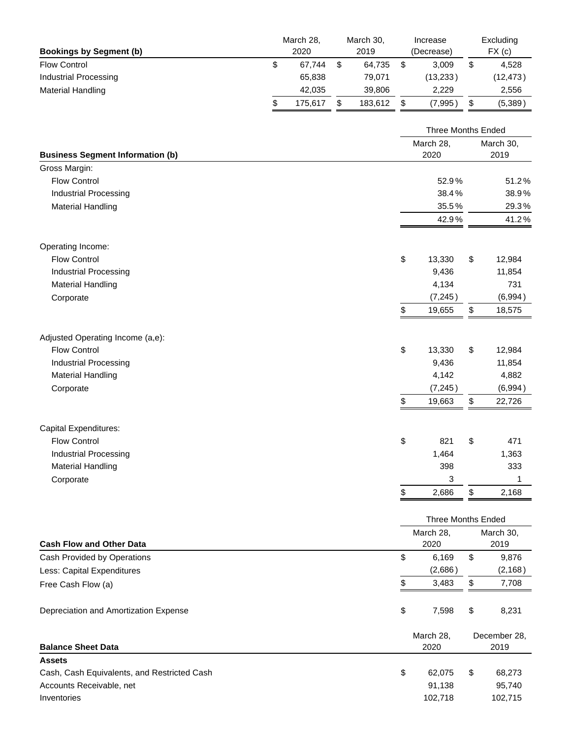|                                | March 28, | March 30. | Increase   | Excluding      |
|--------------------------------|-----------|-----------|------------|----------------|
| <b>Bookings by Segment (b)</b> | 2020      | 2019      | (Decrease) | $FX$ (c)       |
| <b>Flow Control</b>            | 67.744    | 64.735    | 3.009      | \$<br>4,528    |
| Industrial Processing          | 65,838    | 79.071    | (13,233)   | (12,473)       |
| Material Handling              | 42.035    | 39.806    | 2.229      | 2,556          |
|                                | 175.617   | 183.612   | (7,995)    | \$<br>(5, 389) |

|                                         | <b>Three Months Ended</b> |                           |    |                   |  |  |
|-----------------------------------------|---------------------------|---------------------------|----|-------------------|--|--|
| <b>Business Segment Information (b)</b> |                           | March 28,<br>2020         |    | March 30,<br>2019 |  |  |
| Gross Margin:                           |                           |                           |    |                   |  |  |
| <b>Flow Control</b>                     |                           | 52.9%                     |    | 51.2%             |  |  |
| <b>Industrial Processing</b>            |                           | 38.4%                     |    | 38.9%             |  |  |
| <b>Material Handling</b>                |                           | 35.5%                     |    | 29.3%             |  |  |
|                                         |                           | 42.9%                     |    | 41.2%             |  |  |
| Operating Income:                       |                           |                           |    |                   |  |  |
| <b>Flow Control</b>                     | \$                        | 13,330                    | \$ | 12,984            |  |  |
| <b>Industrial Processing</b>            |                           | 9,436                     |    | 11,854            |  |  |
| <b>Material Handling</b>                |                           | 4,134                     |    | 731               |  |  |
| Corporate                               |                           | (7, 245)                  |    | (6,994)           |  |  |
|                                         | \$                        | 19,655                    | \$ | 18,575            |  |  |
| Adjusted Operating Income (a,e):        |                           |                           |    |                   |  |  |
| <b>Flow Control</b>                     | \$                        | 13,330                    | \$ | 12,984            |  |  |
| <b>Industrial Processing</b>            |                           | 9,436                     |    | 11,854            |  |  |
| <b>Material Handling</b>                |                           | 4,142                     |    | 4,882             |  |  |
| Corporate                               |                           | (7, 245)                  |    | (6,994)           |  |  |
|                                         | \$                        | 19,663                    | \$ | 22,726            |  |  |
| <b>Capital Expenditures:</b>            |                           |                           |    |                   |  |  |
| <b>Flow Control</b>                     | \$                        | 821                       | \$ | 471               |  |  |
| <b>Industrial Processing</b>            |                           | 1,464                     |    | 1,363             |  |  |
| <b>Material Handling</b>                |                           | 398                       |    | 333               |  |  |
| Corporate                               |                           | 3                         |    | 1                 |  |  |
|                                         | \$                        | 2,686                     | \$ | 2,168             |  |  |
|                                         |                           | <b>Three Months Ended</b> |    |                   |  |  |
|                                         |                           | March 28,                 |    | March 30,         |  |  |

| <b>Cash Flow and Other Data</b>                                    | $m$ $n$<br>2020 |                            | $m$ $n$<br>2019                     |
|--------------------------------------------------------------------|-----------------|----------------------------|-------------------------------------|
| Cash Provided by Operations                                        | \$              | 6,169                      | \$<br>9,876                         |
| Less: Capital Expenditures                                         |                 | (2,686)                    | (2, 168)                            |
| Free Cash Flow (a)                                                 | \$              | 3,483                      | \$<br>7,708                         |
| Depreciation and Amortization Expense<br><b>Balance Sheet Data</b> | \$              | 7,598<br>March 28.<br>2020 | \$<br>8,231<br>December 28.<br>2019 |
| <b>Assets</b>                                                      |                 |                            |                                     |
| Cash, Cash Equivalents, and Restricted Cash                        | \$              | 62.075                     | \$<br>68,273                        |
| Accounts Receivable, net                                           |                 | 91,138                     | 95,740                              |
| Inventories                                                        |                 | 102,718                    | 102,715                             |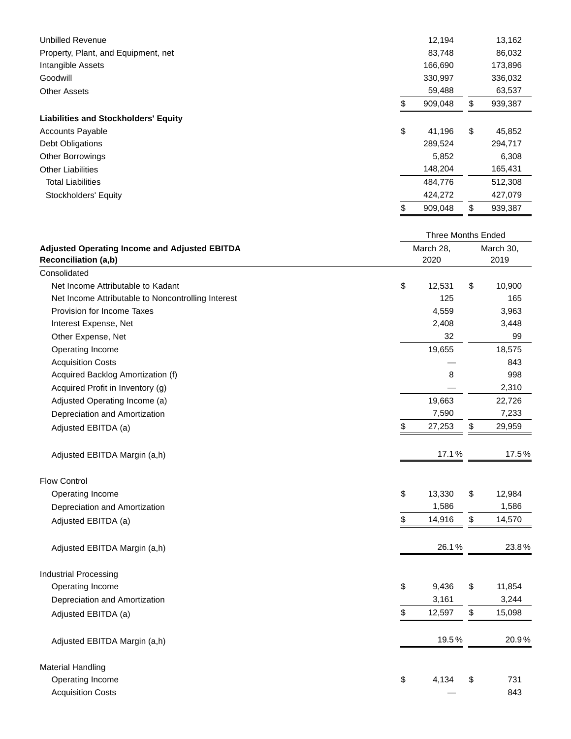| <b>Unbilled Revenue</b>                     |     | 12,194  | 13,162        |
|---------------------------------------------|-----|---------|---------------|
| Property, Plant, and Equipment, net         |     | 83,748  | 86,032        |
| Intangible Assets                           |     | 166,690 | 173,896       |
| Goodwill                                    |     | 330,997 | 336,032       |
| <b>Other Assets</b>                         |     | 59,488  | 63,537        |
|                                             | \$. | 909,048 | \$<br>939,387 |
| <b>Liabilities and Stockholders' Equity</b> |     |         |               |
| <b>Accounts Payable</b>                     | \$  | 41,196  | \$<br>45,852  |
| Debt Obligations                            |     | 289,524 | 294,717       |
| <b>Other Borrowings</b>                     |     | 5,852   | 6,308         |
| <b>Other Liabilities</b>                    |     | 148,204 | 165,431       |
| <b>Total Liabilities</b>                    |     | 484,776 | 512,308       |
| Stockholders' Equity                        |     | 424,272 | 427,079       |
|                                             |     | 909,048 | \$<br>939,387 |

|                                                                                     |                   | <b>Three Months Ended</b> |                   |  |  |
|-------------------------------------------------------------------------------------|-------------------|---------------------------|-------------------|--|--|
| <b>Adjusted Operating Income and Adjusted EBITDA</b><br><b>Reconciliation (a,b)</b> | March 28,<br>2020 |                           | March 30,<br>2019 |  |  |
| Consolidated                                                                        |                   |                           |                   |  |  |
| Net Income Attributable to Kadant                                                   | \$<br>12,531      | \$                        | 10,900            |  |  |
| Net Income Attributable to Noncontrolling Interest                                  | 125               |                           | 165               |  |  |
| Provision for Income Taxes                                                          | 4,559             |                           | 3,963             |  |  |
| Interest Expense, Net                                                               | 2,408             |                           | 3,448             |  |  |
| Other Expense, Net                                                                  | 32                |                           | 99                |  |  |
| Operating Income                                                                    | 19,655            |                           | 18,575            |  |  |
| <b>Acquisition Costs</b>                                                            |                   |                           | 843               |  |  |
| Acquired Backlog Amortization (f)                                                   | 8                 |                           | 998               |  |  |
| Acquired Profit in Inventory (g)                                                    |                   |                           | 2,310             |  |  |
| Adjusted Operating Income (a)                                                       | 19,663            |                           | 22,726            |  |  |
| Depreciation and Amortization                                                       | 7,590             |                           | 7,233             |  |  |
| Adjusted EBITDA (a)                                                                 | \$<br>27,253      | \$                        | 29,959            |  |  |
| Adjusted EBITDA Margin (a,h)                                                        | 17.1%             |                           | 17.5%             |  |  |
| <b>Flow Control</b>                                                                 |                   |                           |                   |  |  |
| Operating Income                                                                    | \$<br>13,330      | \$                        | 12,984            |  |  |
| Depreciation and Amortization                                                       | 1,586             |                           | 1,586             |  |  |
| Adjusted EBITDA (a)                                                                 | \$<br>14,916      | \$                        | 14,570            |  |  |
| Adjusted EBITDA Margin (a,h)                                                        | 26.1%             |                           | 23.8%             |  |  |
| <b>Industrial Processing</b>                                                        |                   |                           |                   |  |  |
| Operating Income                                                                    | \$<br>9,436       | \$                        | 11,854            |  |  |
| Depreciation and Amortization                                                       | 3,161             |                           | 3,244             |  |  |
| Adjusted EBITDA (a)                                                                 | \$<br>12,597      | \$                        | 15,098            |  |  |
| Adjusted EBITDA Margin (a,h)                                                        | 19.5%             |                           | 20.9%             |  |  |
| <b>Material Handling</b>                                                            |                   |                           |                   |  |  |
| Operating Income                                                                    | \$<br>4,134       | \$                        | 731               |  |  |
| <b>Acquisition Costs</b>                                                            |                   |                           | 843               |  |  |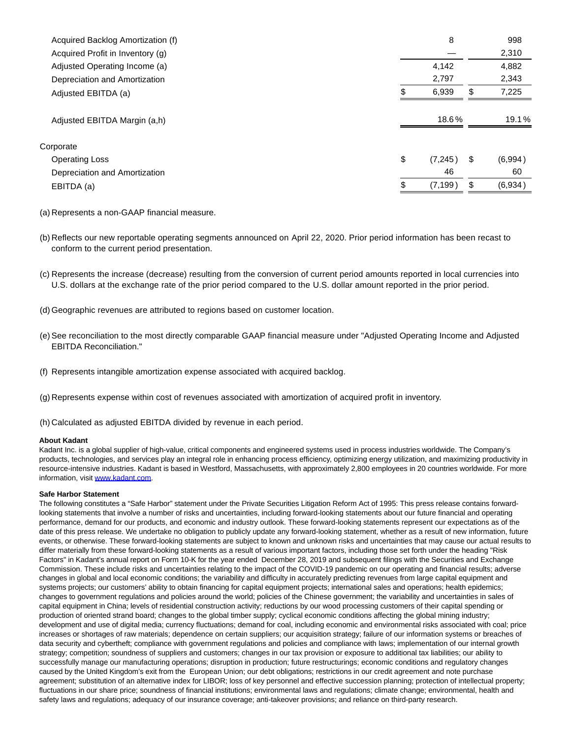| Acquired Backlog Amortization (f) | 8              | 998           |
|-----------------------------------|----------------|---------------|
| Acquired Profit in Inventory (g)  |                | 2,310         |
| Adjusted Operating Income (a)     | 4,142          | 4,882         |
| Depreciation and Amortization     | 2,797          | 2,343         |
| Adjusted EBITDA (a)               | 6,939          | \$<br>7,225   |
| Adjusted EBITDA Margin (a,h)      | 18.6%          | 19.1%         |
| Corporate                         |                |               |
| <b>Operating Loss</b>             | \$<br>(7, 245) | \$<br>(6,994) |
| Depreciation and Amortization     | 46             | 60            |
| EBITDA (a)                        | (7, 199)       | \$<br>(6,934) |

- (a) Represents a non-GAAP financial measure.
- (b) Reflects our new reportable operating segments announced on April 22, 2020. Prior period information has been recast to conform to the current period presentation.
- (c) Represents the increase (decrease) resulting from the conversion of current period amounts reported in local currencies into U.S. dollars at the exchange rate of the prior period compared to the U.S. dollar amount reported in the prior period.
- (d) Geographic revenues are attributed to regions based on customer location.
- (e) See reconciliation to the most directly comparable GAAP financial measure under "Adjusted Operating Income and Adjusted EBITDA Reconciliation."
- (f) Represents intangible amortization expense associated with acquired backlog.
- (g) Represents expense within cost of revenues associated with amortization of acquired profit in inventory.
- (h) Calculated as adjusted EBITDA divided by revenue in each period.

#### **About Kadant**

Kadant Inc. is a global supplier of high-value, critical components and engineered systems used in process industries worldwide. The Company's products, technologies, and services play an integral role in enhancing process efficiency, optimizing energy utilization, and maximizing productivity in resource-intensive industries. Kadant is based in Westford, Massachusetts, with approximately 2,800 employees in 20 countries worldwide. For more information, visit [www.kadant.com.](https://www.globenewswire.com/Tracker?data=NlNzW3QZ7mGPAyrUSG56RhR33CrdKKXvQ_LN8Cvz-hugO5WAZMRlbcww26IpoEz2lVALcpR5EgJSCCD-lChtyg==)

#### **Safe Harbor Statement**

The following constitutes a "Safe Harbor" statement under the Private Securities Litigation Reform Act of 1995: This press release contains forwardlooking statements that involve a number of risks and uncertainties, including forward-looking statements about our future financial and operating performance, demand for our products, and economic and industry outlook. These forward-looking statements represent our expectations as of the date of this press release. We undertake no obligation to publicly update any forward-looking statement, whether as a result of new information, future events, or otherwise. These forward-looking statements are subject to known and unknown risks and uncertainties that may cause our actual results to differ materially from these forward-looking statements as a result of various important factors, including those set forth under the heading "Risk Factors" in Kadant's annual report on Form 10-K for the year ended December 28, 2019 and subsequent filings with the Securities and Exchange Commission. These include risks and uncertainties relating to the impact of the COVID-19 pandemic on our operating and financial results; adverse changes in global and local economic conditions; the variability and difficulty in accurately predicting revenues from large capital equipment and systems projects; our customers' ability to obtain financing for capital equipment projects; international sales and operations; health epidemics; changes to government regulations and policies around the world; policies of the Chinese government; the variability and uncertainties in sales of capital equipment in China; levels of residential construction activity; reductions by our wood processing customers of their capital spending or production of oriented strand board; changes to the global timber supply; cyclical economic conditions affecting the global mining industry; development and use of digital media; currency fluctuations; demand for coal, including economic and environmental risks associated with coal; price increases or shortages of raw materials; dependence on certain suppliers; our acquisition strategy; failure of our information systems or breaches of data security and cybertheft; compliance with government regulations and policies and compliance with laws; implementation of our internal growth strategy; competition; soundness of suppliers and customers; changes in our tax provision or exposure to additional tax liabilities; our ability to successfully manage our manufacturing operations; disruption in production; future restructurings; economic conditions and regulatory changes caused by the United Kingdom's exit from the European Union; our debt obligations; restrictions in our credit agreement and note purchase agreement; substitution of an alternative index for LIBOR; loss of key personnel and effective succession planning; protection of intellectual property; fluctuations in our share price; soundness of financial institutions; environmental laws and regulations; climate change; environmental, health and safety laws and regulations; adequacy of our insurance coverage; anti-takeover provisions; and reliance on third-party research.